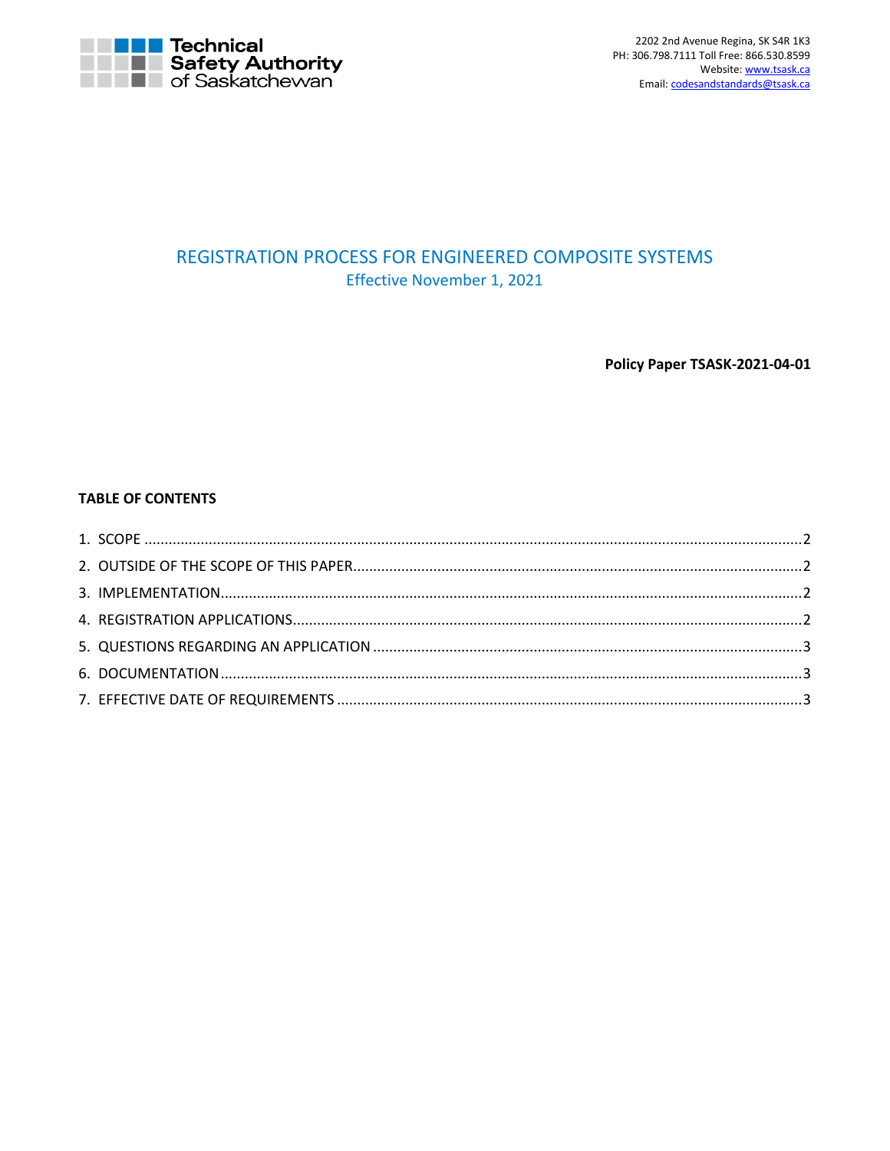

# REGISTRATION PROCESS FOR ENGINEERED COMPOSITE SYSTEMS Effective November 1, 2021

Policy Paper TSASK-2021-04-01

# **TABLE OF CONTENTS**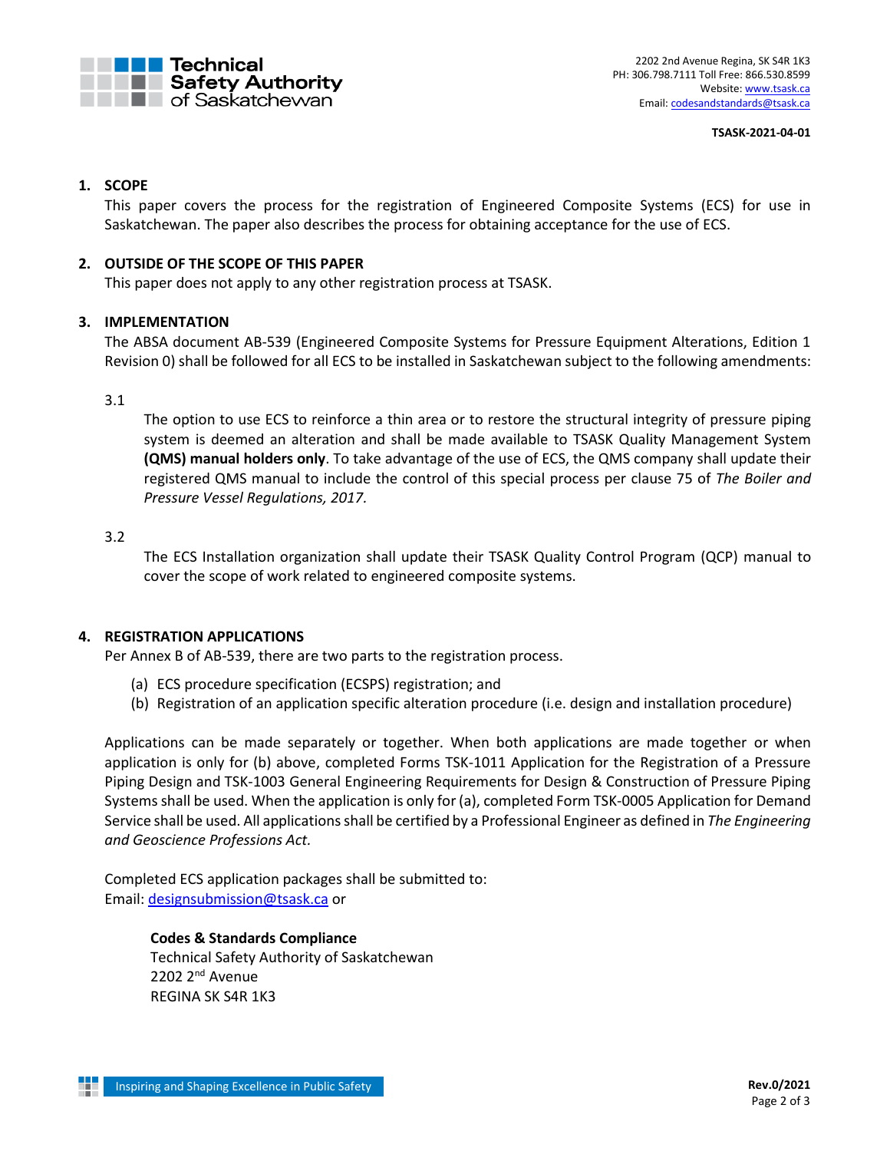

#### **TSASK-2021-04-01**

## <span id="page-1-0"></span>**1. SCOPE**

This paper covers the process for the registration of Engineered Composite Systems (ECS) for use in Saskatchewan. The paper also describes the process for obtaining acceptance for the use of ECS.

## <span id="page-1-1"></span>**2. OUTSIDE OF THE SCOPE OF THIS PAPER**

This paper does not apply to any other registration process at TSASK.

## <span id="page-1-2"></span>**3. IMPLEMENTATION**

The ABSA document AB-539 (Engineered Composite Systems for Pressure Equipment Alterations, Edition 1 Revision 0) shall be followed for all ECS to be installed in Saskatchewan subject to the following amendments:

## 3.1

The option to use ECS to reinforce a thin area or to restore the structural integrity of pressure piping system is deemed an alteration and shall be made available to TSASK Quality Management System **(QMS) manual holders only**. To take advantage of the use of ECS, the QMS company shall update their registered QMS manual to include the control of this special process per clause 75 of *The Boiler and Pressure Vessel Regulations, 2017.*

## 3.2

The ECS Installation organization shall update their TSASK Quality Control Program (QCP) manual to cover the scope of work related to engineered composite systems.

## <span id="page-1-3"></span>**4. REGISTRATION APPLICATIONS**

Per Annex B of AB-539, there are two parts to the registration process.

- (a) ECS procedure specification (ECSPS) registration; and
- (b) Registration of an application specific alteration procedure (i.e. design and installation procedure)

Applications can be made separately or together. When both applications are made together or when application is only for (b) above, completed Forms TSK-1011 Application for the Registration of a Pressure Piping Design and TSK-1003 General Engineering Requirements for Design & Construction of Pressure Piping Systems shall be used. When the application is only for (a), completed Form TSK-0005 Application for Demand Service shall be used. All applications shall be certified by a Professional Engineer as defined in *The Engineering and Geoscience Professions Act.*

Completed ECS application packages shall be submitted to: Email: [designsubmission@tsask.ca](mailto:designsubmission@tsask.ca) or

> **Codes & Standards Compliance** Technical Safety Authority of Saskatchewan 2202 2<sup>nd</sup> Avenue REGINA SK S4R 1K3